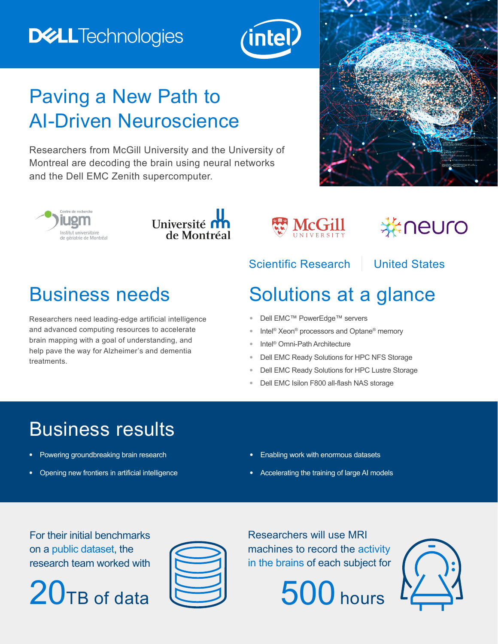# **DELLTechnologies**



# Paving a New Path to AI-Driven Neuroscience

Researchers from McGill University and the University of Montreal are decoding the brain using neural networks and the Dell EMC Zenith supercomputer.









# \*neuro

#### Scientific Research | United States

Researchers need leading-edge artificial intelligence and advanced computing resources to accelerate brain mapping with a goal of understanding, and help pave the way for Alzheimer's and dementia treatments.

## Business needs Solutions at a glance

- **•** Dell EMC™ PowerEdge™ servers
- **•** Intel® Xeon® processors and Optane® memory
- **•** Intel® Omni-Path Architecture
- **•** Dell EMC Ready Solutions for HPC NFS Storage
- **•** Dell EMC Ready Solutions for HPC Lustre Storage
- **•** Dell EMC Isilon F800 all-flash NAS storage

# Business results

- **•** Powering groundbreaking brain research
- **•** Opening new frontiers in artificial intelligence
- **•** Enabling work with enormous datasets
- **•** Accelerating the training of large AI models

For their initial benchmarks on a public dataset, the research team worked with





Researchers will use MRI machines to record the activity in the brains of each subject for



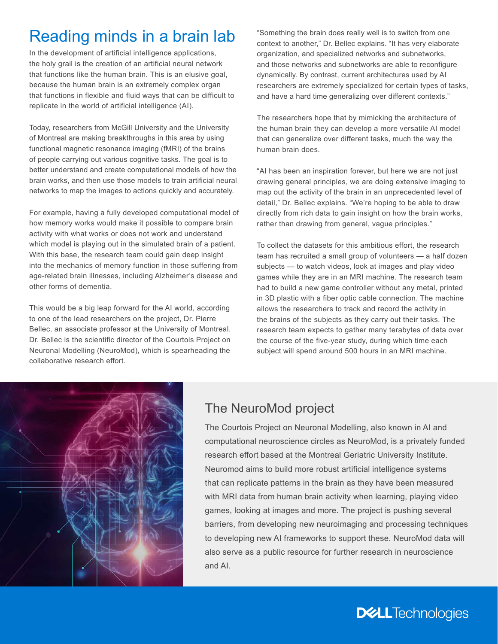## Reading minds in a brain lab

In the development of artificial intelligence applications, the holy grail is the creation of an artificial neural network that functions like the human brain. This is an elusive goal, because the human brain is an extremely complex organ that functions in flexible and fluid ways that can be difficult to replicate in the world of artificial intelligence (AI).

Today, researchers from McGill University and the University of Montreal are making breakthroughs in this area by using functional magnetic resonance imaging (fMRI) of the brains of people carrying out various cognitive tasks. The goal is to better understand and create computational models of how the brain works, and then use those models to train artificial neural networks to map the images to actions quickly and accurately.

For example, having a fully developed computational model of how memory works would make it possible to compare brain activity with what works or does not work and understand which model is playing out in the simulated brain of a patient. With this base, the research team could gain deep insight into the mechanics of memory function in those suffering from age-related brain illnesses, including Alzheimer's disease and other forms of dementia.

This would be a big leap forward for the AI world, according to one of the lead researchers on the project, Dr. Pierre Bellec, an associate professor at the University of Montreal. Dr. Bellec is the scientific director of the Courtois Project on Neuronal Modelling (NeuroMod), which is spearheading the collaborative research effort.

"Something the brain does really well is to switch from one context to another," Dr. Bellec explains. "It has very elaborate organization, and specialized networks and subnetworks, and those networks and subnetworks are able to reconfigure dynamically. By contrast, current architectures used by AI researchers are extremely specialized for certain types of tasks, and have a hard time generalizing over different contexts."

The researchers hope that by mimicking the architecture of the human brain they can develop a more versatile AI model that can generalize over different tasks, much the way the human brain does.

"AI has been an inspiration forever, but here we are not just drawing general principles, we are doing extensive imaging to map out the activity of the brain in an unprecedented level of detail," Dr. Bellec explains. "We're hoping to be able to draw directly from rich data to gain insight on how the brain works, rather than drawing from general, vague principles."

To collect the datasets for this ambitious effort, the research team has recruited a small group of volunteers — a half dozen subjects — to watch videos, look at images and play video games while they are in an MRI machine. The research team had to build a new game controller without any metal, printed in 3D plastic with a fiber optic cable connection. The machine allows the researchers to track and record the activity in the brains of the subjects as they carry out their tasks. The research team expects to gather many terabytes of data over the course of the five-year study, during which time each subject will spend around 500 hours in an MRI machine.



#### The NeuroMod project

The Courtois Project on Neuronal Modelling, also known in AI and computational neuroscience circles as NeuroMod, is a privately funded research effort based at the Montreal Geriatric University Institute. Neuromod aims to build more robust artificial intelligence systems that can replicate patterns in the brain as they have been measured with MRI data from human brain activity when learning, playing video games, looking at images and more. The project is pushing several barriers, from developing new neuroimaging and processing techniques to developing new AI frameworks to support these. NeuroMod data will also serve as a public resource for further research in neuroscience and AI.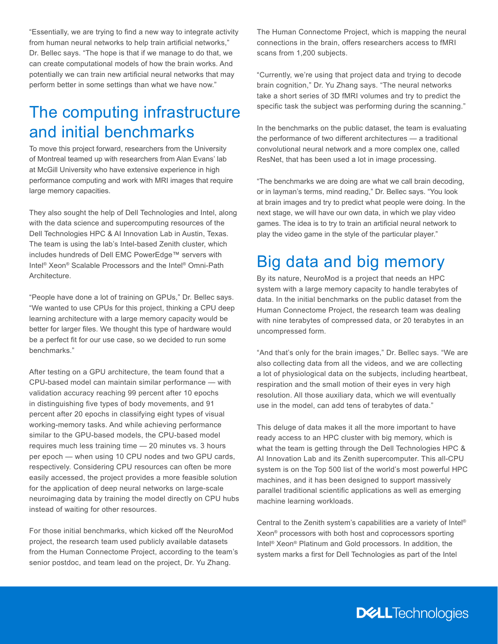"Essentially, we are trying to find a new way to integrate activity from human neural networks to help train artificial networks," Dr. Bellec says. "The hope is that if we manage to do that, we can create computational models of how the brain works. And potentially we can train new artificial neural networks that may perform better in some settings than what we have now."

### The computing infrastructure and initial benchmarks

To move this project forward, researchers from the University of Montreal teamed up with researchers from Alan Evans' lab at McGill University who have extensive experience in high performance computing and work with MRI images that require large memory capacities.

They also sought the help of Dell Technologies and Intel, along with the data science and supercomputing resources of the Dell Technologies HPC & AI Innovation Lab in Austin, Texas. The team is using the lab's Intel-based Zenith cluster, which includes hundreds of Dell EMC PowerEdge™ servers with Intel® Xeon® Scalable Processors and the Intel® Omni-Path Architecture.

"People have done a lot of training on GPUs," Dr. Bellec says. "We wanted to use CPUs for this project, thinking a CPU deep learning architecture with a large memory capacity would be better for larger files. We thought this type of hardware would be a perfect fit for our use case, so we decided to run some benchmarks."

After testing on a GPU architecture, the team found that a CPU-based model can maintain similar performance — with validation accuracy reaching 99 percent after 10 epochs in distinguishing five types of body movements, and 91 percent after 20 epochs in classifying eight types of visual working-memory tasks. And while achieving performance similar to the GPU-based models, the CPU-based model requires much less training time — 20 minutes vs. 3 hours per epoch — when using 10 CPU nodes and two GPU cards, respectively. Considering CPU resources can often be more easily accessed, the project provides a more feasible solution for the application of deep neural networks on large-scale neuroimaging data by training the model directly on CPU hubs instead of waiting for other resources.

For those initial benchmarks, which kicked off the NeuroMod project, the research team used publicly available datasets from the Human Connectome Project, according to the team's senior postdoc, and team lead on the project, Dr. Yu Zhang.

The Human Connectome Project, which is mapping the neural connections in the brain, offers researchers access to fMRI scans from 1,200 subjects.

"Currently, we're using that project data and trying to decode brain cognition," Dr. Yu Zhang says. "The neural networks take a short series of 3D fMRI volumes and try to predict the specific task the subject was performing during the scanning."

In the benchmarks on the public dataset, the team is evaluating the performance of two different architectures — a traditional convolutional neural network and a more complex one, called ResNet, that has been used a lot in image processing.

"The benchmarks we are doing are what we call brain decoding, or in layman's terms, mind reading," Dr. Bellec says. "You look at brain images and try to predict what people were doing. In the next stage, we will have our own data, in which we play video games. The idea is to try to train an artificial neural network to play the video game in the style of the particular player."

#### Big data and big memory

By its nature, NeuroMod is a project that needs an HPC system with a large memory capacity to handle terabytes of data. In the initial benchmarks on the public dataset from the Human Connectome Project, the research team was dealing with nine terabytes of compressed data, or 20 terabytes in an uncompressed form.

"And that's only for the brain images," Dr. Bellec says. "We are also collecting data from all the videos, and we are collecting a lot of physiological data on the subjects, including heartbeat, respiration and the small motion of their eyes in very high resolution. All those auxiliary data, which we will eventually use in the model, can add tens of terabytes of data."

This deluge of data makes it all the more important to have ready access to an HPC cluster with big memory, which is what the team is getting through the Dell Technologies HPC & AI Innovation Lab and its Zenith supercomputer. This all-CPU system is on the Top 500 list of the world's most powerful HPC machines, and it has been designed to support massively parallel traditional scientific applications as well as emerging machine learning workloads.

Central to the Zenith system's capabilities are a variety of Intel® Xeon® processors with both host and coprocessors sporting Intel® Xeon® Platinum and Gold processors. In addition, the system marks a first for Dell Technologies as part of the Intel